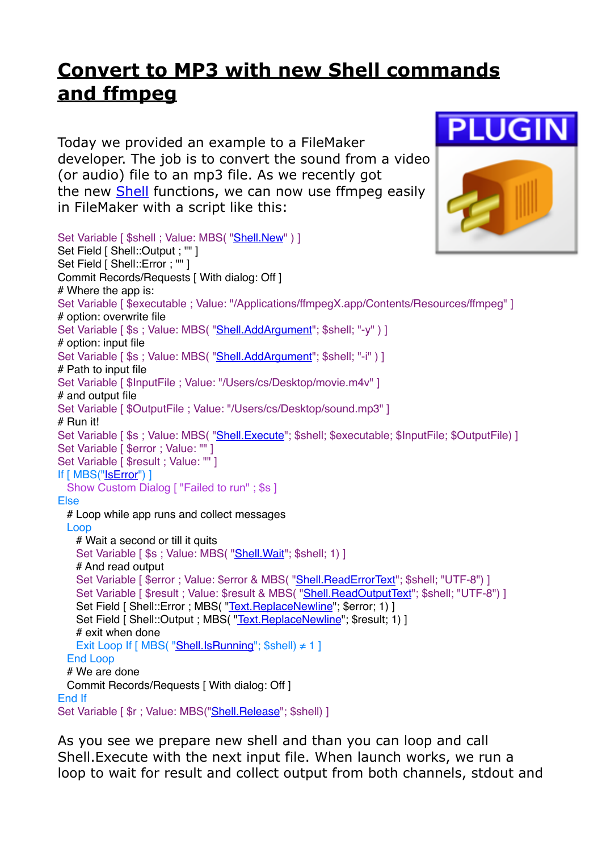## **[Convert to MP3 with new Shell commands](https://www.mbs-plugins.com/archive/2017-11-16/Convert_to_MP3_with_new_Shell_/monkeybreadsoftware_blog_filemaker)  [and ffmpeg](https://www.mbs-plugins.com/archive/2017-11-16/Convert_to_MP3_with_new_Shell_/monkeybreadsoftware_blog_filemaker)**

Today we provided an example to a FileMaker developer. The job is to convert the sound from a video (or audio) file to an mp3 file. As we recently got the new **Shell** functions, we can now use ffmpeg easily in FileMaker with a script like this:

Set Variable [ \$shell ; Value: MBS( ["Shell.New](http://www.mbsplugins.eu/ShellNew.shtml)" ) ] Set Field [ Shell::Output ; "" ] Set Field [ Shell::Error : "" ] Commit Records/Requests [ With dialog: Off ] # Where the app is: Set Variable [ \$executable ; Value: "/Applications/ffmpegX.app/Contents/Resources/ffmpeg" ] # option: overwrite file Set Variable [\$s ; Value: MBS( "[Shell.AddArgument](http://www.mbsplugins.eu/ShellAddArgument.shtml)"; \$shell; "-y" ) ] # option: input file Set Variable [\$s ; Value: MBS( "[Shell.AddArgument](http://www.mbsplugins.eu/ShellAddArgument.shtml)"; \$shell; "-i" ) ] # Path to input file Set Variable [ \$InputFile : Value: "/Users/cs/Desktop/movie.m4v" ] # and output file Set Variable [ \$OutputFile ; Value: "/Users/cs/Desktop/sound.mp3" ] # Run it! Set Variable [\$s; Value: MBS( "[Shell.Execute](http://www.mbsplugins.eu/ShellExecute.shtml)"; \$shell; \$executable; \$InputFile; \$OutputFile) ] Set Variable [ \$error ; Value: "" ] Set Variable [ \$result : Value: "" ] If [ MBS(["IsError](http://www.mbsplugins.eu/IsError.shtml)") ] Show Custom Dialog [ "Failed to run" ; \$s ] Else # Loop while app runs and collect messages Loop # Wait a second or till it quits Set Variable [ \$s ; Value: MBS( "Shell. Wait"; \$shell; 1) ] # And read output Set Variable [ \$error ; Value: \$error & MBS( "Shell. ReadErrorText"; \$shell; "UTF-8") ] Set Variable [ \$result ; Value: \$result & MBS( ["Shell.ReadOutputText](http://www.mbsplugins.eu/ShellReadOutputText.shtml)"; \$shell; "UTF-8") ] Set Field [ Shell::Error ; MBS( ["Text.ReplaceNewline](http://www.mbsplugins.eu/TextReplaceNewline.shtml)"; \$error; 1) ] Set Field [ Shell::Output ; MBS( ["Text.ReplaceNewline"](http://www.mbsplugins.eu/TextReplaceNewline.shtml); \$result; 1) ] # exit when done Exit Loop If [ MBS( "[Shell.IsRunning](http://www.mbsplugins.eu/ShellIsRunning.shtml)"; \$shell) ≠ 1 ] End Loop # We are done Commit Records/Requests [ With dialog: Off ] End If Set Variable [  $\frac{1}{2}$ r ; Value: MBS("Shell. Release"; \$shell) ]

As you see we prepare new shell and than you can loop and call Shell.Execute with the next input file. When launch works, we run a loop to wait for result and collect output from both channels, stdout and